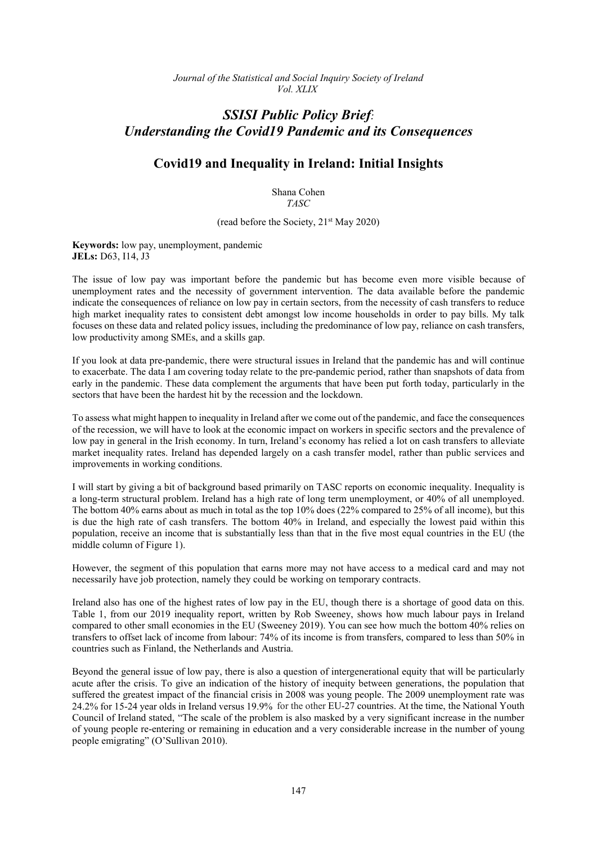*Journal of the Statistical and Social Inquiry Society of Ireland Vol. XLIX*

## *SSISI Public Policy Brief: Understanding the Covid19 Pandemic and its Consequences*

## **Covid19 and Inequality in Ireland: Initial Insights**

Shana Cohen *TASC*

(read before the Society,  $21<sup>st</sup>$  May 2020)

**Keywords:** low pay, unemployment, pandemic **JELs:** D63, I14, J3

The issue of low pay was important before the pandemic but has become even more visible because of unemployment rates and the necessity of government intervention. The data available before the pandemic indicate the consequences of reliance on low pay in certain sectors, from the necessity of cash transfers to reduce high market inequality rates to consistent debt amongst low income households in order to pay bills. My talk focuses on these data and related policy issues, including the predominance of low pay, reliance on cash transfers, low productivity among SMEs, and a skills gap.

If you look at data pre-pandemic, there were structural issues in Ireland that the pandemic has and will continue to exacerbate. The data I am covering today relate to the pre-pandemic period, rather than snapshots of data from early in the pandemic. These data complement the arguments that have been put forth today, particularly in the sectors that have been the hardest hit by the recession and the lockdown.

To assess what might happen to inequality in Ireland after we come out of the pandemic, and face the consequences of the recession, we will have to look at the economic impact on workers in specific sectors and the prevalence of low pay in general in the Irish economy. In turn, Ireland's economy has relied a lot on cash transfers to alleviate market inequality rates. Ireland has depended largely on a cash transfer model, rather than public services and improvements in working conditions.

I will start by giving a bit of background based primarily on TASC reports on economic inequality. Inequality is a long-term structural problem. Ireland has a high rate of long term unemployment, or 40% of all unemployed. The bottom 40% earns about as much in total as the top 10% does (22% compared to 25% of all income), but this is due the high rate of cash transfers. The bottom 40% in Ireland, and especially the lowest paid within this population, receive an income that is substantially less than that in the five most equal countries in the EU (the middle column of Figure 1).

However, the segment of this population that earns more may not have access to a medical card and may not necessarily have job protection, namely they could be working on temporary contracts.

Ireland also has one of the highest rates of low pay in the EU, though there is a shortage of good data on this. Table 1, from our 2019 inequality report, written by Rob Sweeney, shows how much labour pays in Ireland compared to other small economies in the EU (Sweeney 2019). You can see how much the bottom 40% relies on transfers to offset lack of income from labour: 74% of its income is from transfers, compared to less than 50% in countries such as Finland, the Netherlands and Austria.

Beyond the general issue of low pay, there is also a question of intergenerational equity that will be particularly acute after the crisis. To give an indication of the history of inequity between generations, the population that suffered the greatest impact of the financial crisis in 2008 was young people. The 2009 unemployment rate was 24.2% for 15-24 year olds in Ireland versus 19.9% for the other EU-27 countries. At the time, the National Youth Council of Ireland stated, "The scale of the problem is also masked by a very significant increase in the number of young people re-entering or remaining in education and a very considerable increase in the number of young people emigrating" (O'Sullivan 2010).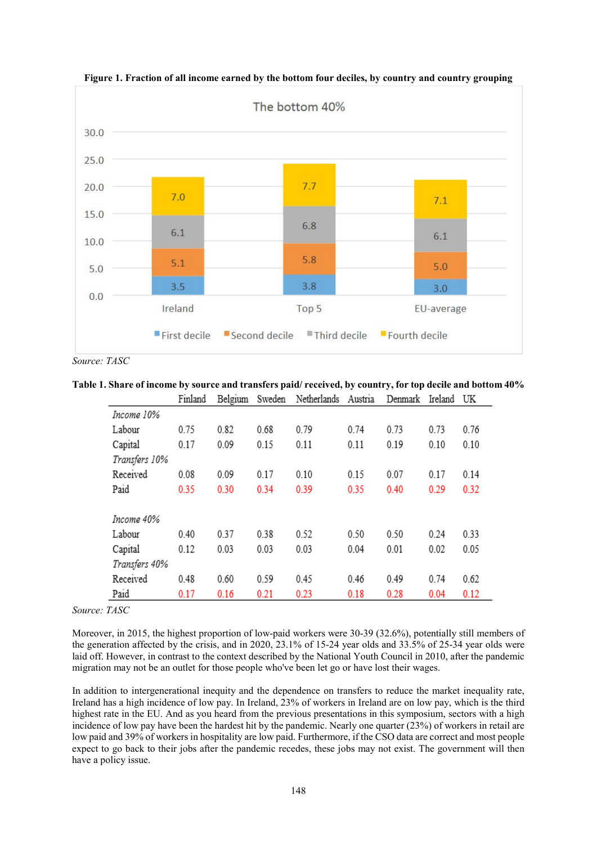

**Figure 1. Fraction of all income earned by the bottom four deciles, by country and country grouping**

*Source: TASC*

**Table 1. Share of income by source and transfers paid/ received, by country, for top decile and bottom 40%**

|               | Finland | Belgium | Sweden | Netherlands | Austria | Denmark | Ireland | UK   |
|---------------|---------|---------|--------|-------------|---------|---------|---------|------|
| Income 10%    |         |         |        |             |         |         |         |      |
| Labour        | 0.75    | 0.82    | 0.68   | 0.79        | 0.74    | 0.73    | 0.73    | 0.76 |
| Capital       | 0.17    | 0.09    | 0.15   | 0.11        | 0.11    | 0.19    | 0.10    | 0.10 |
| Transfers 10% |         |         |        |             |         |         |         |      |
| Received      | 0.08    | 0.09    | 0.17   | 0.10        | 0.15    | 0.07    | 0.17    | 0.14 |
| Paid          | 0.35    | 0.30    | 0.34   | 0.39        | 0.35    | 0.40    | 0.29    | 0.32 |
|               |         |         |        |             |         |         |         |      |
| Income 40%    |         |         |        |             |         |         |         |      |
| Labour        | 0.40    | 0.37    | 0.38   | 0.52        | 0.50    | 0.50    | 0.24    | 0.33 |
| Capital       | 0.12    | 0.03    | 0.03   | 0.03        | 0.04    | 0.01    | 0.02    | 0.05 |
| Transfers 40% |         |         |        |             |         |         |         |      |
| Received      | 0.48    | 0.60    | 0.59   | 0.45        | 0.46    | 0.49    | 0.74    | 0.62 |
| Paid          | 0.17    | 0.16    | 0.21   | 0.23        | 0.18    | 0.28    | 0.04    | 0.12 |

*Source: TASC*

Moreover, in 2015, the highest proportion of low-paid workers were 30-39 (32.6%), potentially still members of the generation affected by the crisis, and in 2020, 23.1% of 15-24 year olds and 33.5% of 25-34 year olds were laid off. However, in contrast to the context described by the National Youth Council in 2010, after the pandemic migration may not be an outlet for those people who've been let go or have lost their wages.

In addition to intergenerational inequity and the dependence on transfers to reduce the market inequality rate, Ireland has a high incidence of low pay. In Ireland, 23% of workers in Ireland are on low pay, which is the third highest rate in the EU. And as you heard from the previous presentations in this symposium, sectors with a high incidence of low pay have been the hardest hit by the pandemic. Nearly one quarter (23%) of workers in retail are low paid and 39% of workers in hospitality are low paid. Furthermore, if the CSO data are correct and most people expect to go back to their jobs after the pandemic recedes, these jobs may not exist. The government will then have a policy issue.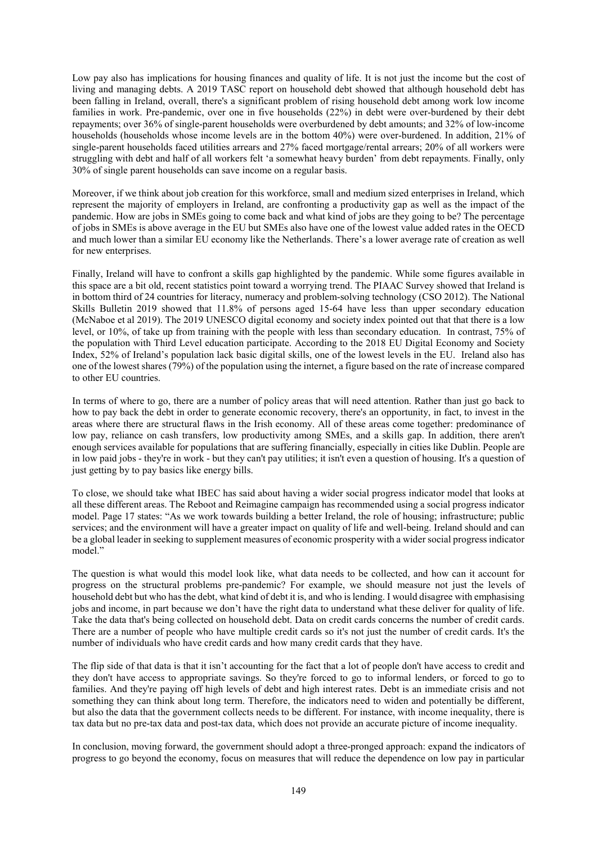Low pay also has implications for housing finances and quality of life. It is not just the income but the cost of living and managing debts. A 2019 TASC report on household debt showed that although household debt has been falling in Ireland, overall, there's a significant problem of rising household debt among work low income families in work. Pre-pandemic, over one in five households (22%) in debt were over-burdened by their debt repayments; over 36% of single-parent households were overburdened by debt amounts; and 32% of low-income households (households whose income levels are in the bottom 40%) were over-burdened. In addition, 21% of single-parent households faced utilities arrears and 27% faced mortgage/rental arrears; 20% of all workers were struggling with debt and half of all workers felt 'a somewhat heavy burden' from debt repayments. Finally, only 30% of single parent households can save income on a regular basis.

Moreover, if we think about job creation for this workforce, small and medium sized enterprises in Ireland, which represent the majority of employers in Ireland, are confronting a productivity gap as well as the impact of the pandemic. How are jobs in SMEs going to come back and what kind of jobs are they going to be? The percentage of jobs in SMEs is above average in the EU but SMEs also have one of the lowest value added rates in the OECD and much lower than a similar EU economy like the Netherlands. There's a lower average rate of creation as well for new enterprises.

Finally, Ireland will have to confront a skills gap highlighted by the pandemic. While some figures available in this space are a bit old, recent statistics point toward a worrying trend. The PIAAC Survey showed that Ireland is in bottom third of 24 countries for literacy, numeracy and problem-solving technology (CSO 2012). The National Skills Bulletin 2019 showed that 11.8% of persons aged 15-64 have less than upper secondary education (McNaboe et al 2019). The 2019 UNESCO digital economy and society index pointed out that that there is a low level, or 10%, of take up from training with the people with less than secondary education. In contrast, 75% of the population with Third Level education participate. According to the 2018 EU Digital Economy and Society Index, 52% of Ireland's population lack basic digital skills, one of the lowest levels in the EU. Ireland also has one of the lowest shares (79%) of the population using the internet, a figure based on the rate of increase compared to other EU countries.

In terms of where to go, there are a number of policy areas that will need attention. Rather than just go back to how to pay back the debt in order to generate economic recovery, there's an opportunity, in fact, to invest in the areas where there are structural flaws in the Irish economy. All of these areas come together: predominance of low pay, reliance on cash transfers, low productivity among SMEs, and a skills gap. In addition, there aren't enough services available for populations that are suffering financially, especially in cities like Dublin. People are in low paid jobs - they're in work - but they can't pay utilities; it isn't even a question of housing. It's a question of just getting by to pay basics like energy bills.

To close, we should take what IBEC has said about having a wider social progress indicator model that looks at all these different areas. The Reboot and Reimagine campaign has recommended using a social progress indicator model. Page 17 states: "As we work towards building a better Ireland, the role of housing; infrastructure; public services; and the environment will have a greater impact on quality of life and well-being. Ireland should and can be a global leader in seeking to supplement measures of economic prosperity with a wider social progress indicator model."

The question is what would this model look like, what data needs to be collected, and how can it account for progress on the structural problems pre-pandemic? For example, we should measure not just the levels of household debt but who has the debt, what kind of debt it is, and who is lending. I would disagree with emphasising jobs and income, in part because we don't have the right data to understand what these deliver for quality of life. Take the data that's being collected on household debt. Data on credit cards concerns the number of credit cards. There are a number of people who have multiple credit cards so it's not just the number of credit cards. It's the number of individuals who have credit cards and how many credit cards that they have.

The flip side of that data is that it isn't accounting for the fact that a lot of people don't have access to credit and they don't have access to appropriate savings. So they're forced to go to informal lenders, or forced to go to families. And they're paying off high levels of debt and high interest rates. Debt is an immediate crisis and not something they can think about long term. Therefore, the indicators need to widen and potentially be different, but also the data that the government collects needs to be different. For instance, with income inequality, there is tax data but no pre-tax data and post-tax data, which does not provide an accurate picture of income inequality.

In conclusion, moving forward, the government should adopt a three-pronged approach: expand the indicators of progress to go beyond the economy, focus on measures that will reduce the dependence on low pay in particular